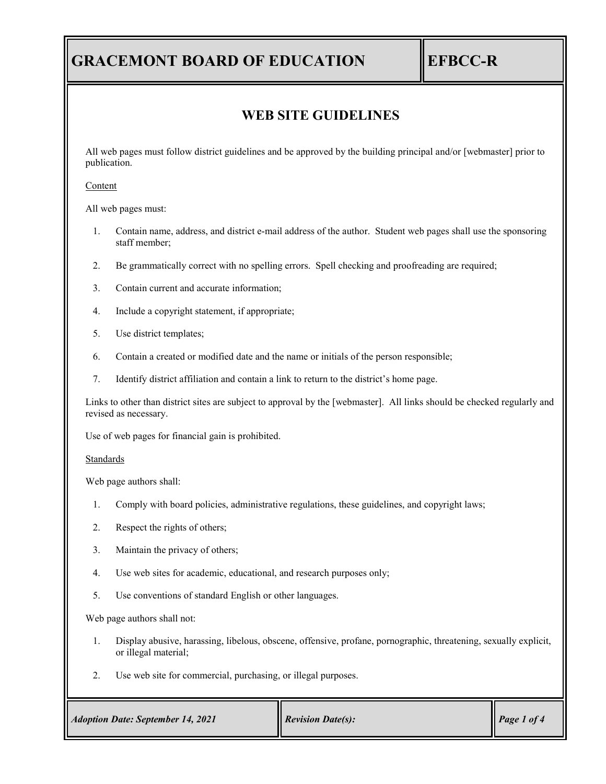# **GRACEMONT BOARD OF EDUCATION EFBCC-R**

## **WEB SITE GUIDELINES**

All web pages must follow district guidelines and be approved by the building principal and/or [webmaster] prior to publication.

#### Content

All web pages must:

- 1. Contain name, address, and district e-mail address of the author. Student web pages shall use the sponsoring staff member;
- 2. Be grammatically correct with no spelling errors. Spell checking and proofreading are required;
- 3. Contain current and accurate information;
- 4. Include a copyright statement, if appropriate;
- 5. Use district templates;
- 6. Contain a created or modified date and the name or initials of the person responsible;
- 7. Identify district affiliation and contain a link to return to the district's home page.

Links to other than district sites are subject to approval by the [webmaster]. All links should be checked regularly and revised as necessary.

Use of web pages for financial gain is prohibited.

Standards

Web page authors shall:

- 1. Comply with board policies, administrative regulations, these guidelines, and copyright laws;
- 2. Respect the rights of others;
- 3. Maintain the privacy of others;
- 4. Use web sites for academic, educational, and research purposes only;
- 5. Use conventions of standard English or other languages.

Web page authors shall not:

- 1. Display abusive, harassing, libelous, obscene, offensive, profane, pornographic, threatening, sexually explicit, or illegal material;
- 2. Use web site for commercial, purchasing, or illegal purposes.

| <b>Adoption Date: September 14, 2021</b> | <b>Revision Date(s):</b> | Page 1 of 4 |
|------------------------------------------|--------------------------|-------------|
|                                          |                          |             |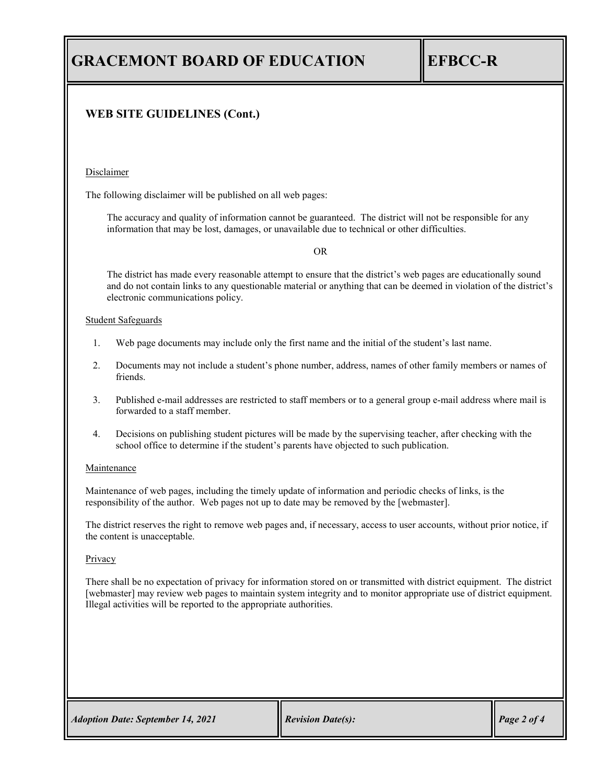# **GRACEMONT BOARD OF EDUCATION EFBCC-R**

### **WEB SITE GUIDELINES (Cont.)**

#### Disclaimer

The following disclaimer will be published on all web pages:

The accuracy and quality of information cannot be guaranteed. The district will not be responsible for any information that may be lost, damages, or unavailable due to technical or other difficulties.

#### OR

The district has made every reasonable attempt to ensure that the district's web pages are educationally sound and do not contain links to any questionable material or anything that can be deemed in violation of the district's electronic communications policy.

#### Student Safeguards

- 1. Web page documents may include only the first name and the initial of the student's last name.
- 2. Documents may not include a student's phone number, address, names of other family members or names of friends.
- 3. Published e-mail addresses are restricted to staff members or to a general group e-mail address where mail is forwarded to a staff member.
- 4. Decisions on publishing student pictures will be made by the supervising teacher, after checking with the school office to determine if the student's parents have objected to such publication.

#### Maintenance

Maintenance of web pages, including the timely update of information and periodic checks of links, is the responsibility of the author. Web pages not up to date may be removed by the [webmaster].

The district reserves the right to remove web pages and, if necessary, access to user accounts, without prior notice, if the content is unacceptable.

#### **Privacy**

There shall be no expectation of privacy for information stored on or transmitted with district equipment. The district [webmaster] may review web pages to maintain system integrity and to monitor appropriate use of district equipment. Illegal activities will be reported to the appropriate authorities.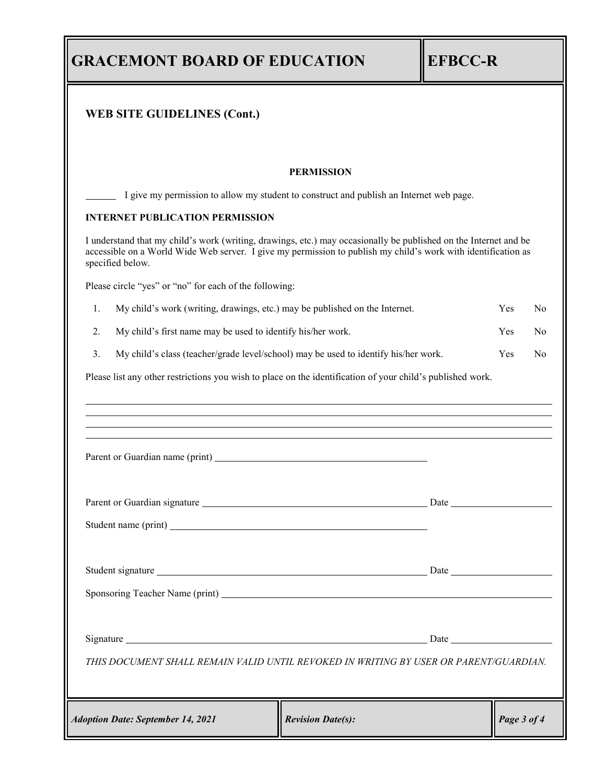|                                                                                           | WEB SITE GUIDELINES (Cont.)                                                                                                                                                                                                                           |                          |             |                |
|-------------------------------------------------------------------------------------------|-------------------------------------------------------------------------------------------------------------------------------------------------------------------------------------------------------------------------------------------------------|--------------------------|-------------|----------------|
|                                                                                           |                                                                                                                                                                                                                                                       | <b>PERMISSION</b>        |             |                |
|                                                                                           | I give my permission to allow my student to construct and publish an Internet web page.                                                                                                                                                               |                          |             |                |
|                                                                                           | <b>INTERNET PUBLICATION PERMISSION</b>                                                                                                                                                                                                                |                          |             |                |
|                                                                                           | I understand that my child's work (writing, drawings, etc.) may occasionally be published on the Internet and be<br>accessible on a World Wide Web server. I give my permission to publish my child's work with identification as<br>specified below. |                          |             |                |
|                                                                                           | Please circle "yes" or "no" for each of the following:                                                                                                                                                                                                |                          |             |                |
| 1.                                                                                        | My child's work (writing, drawings, etc.) may be published on the Internet.                                                                                                                                                                           |                          | Yes         | N <sub>o</sub> |
| My child's first name may be used to identify his/her work.<br>2.                         |                                                                                                                                                                                                                                                       |                          | <b>Yes</b>  | N <sub>o</sub> |
| 3.<br>My child's class (teacher/grade level/school) may be used to identify his/her work. |                                                                                                                                                                                                                                                       |                          | Yes         | N <sub>o</sub> |
|                                                                                           | Parent or Guardian name (print)                                                                                                                                                                                                                       |                          |             |                |
|                                                                                           |                                                                                                                                                                                                                                                       |                          |             |                |
|                                                                                           |                                                                                                                                                                                                                                                       |                          |             |                |
|                                                                                           |                                                                                                                                                                                                                                                       |                          |             |                |
|                                                                                           |                                                                                                                                                                                                                                                       |                          |             |                |
|                                                                                           |                                                                                                                                                                                                                                                       |                          |             |                |
|                                                                                           |                                                                                                                                                                                                                                                       |                          |             |                |
|                                                                                           | THIS DOCUMENT SHALL REMAIN VALID UNTIL REVOKED IN WRITING BY USER OR PARENT/GUARDIAN.                                                                                                                                                                 |                          |             |                |
|                                                                                           | <b>Adoption Date: September 14, 2021</b>                                                                                                                                                                                                              | <b>Revision Date(s):</b> | Page 3 of 4 |                |